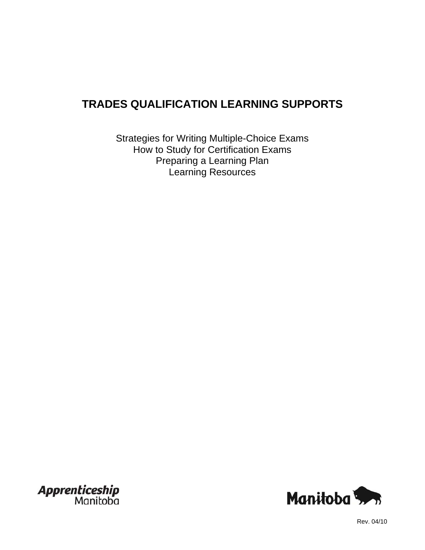# **TRADES QUALIFICATION LEARNING SUPPORTS**

Strategies for Writing Multiple-Choice Exams How to Study for Certification Exams Preparing a Learning Plan Learning Resources





Rev. 04/10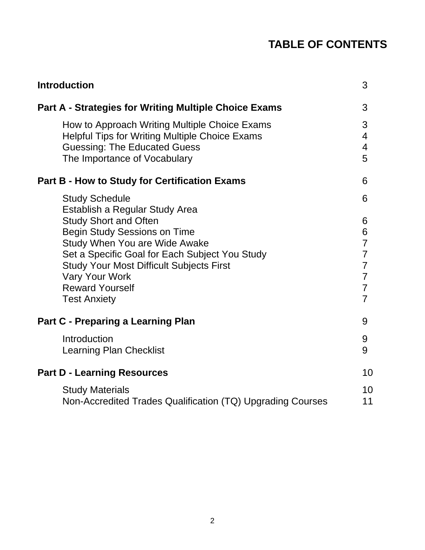# **TABLE OF CONTENTS**

| <b>Introduction</b>                                                                                                                                                                                                                                                                                                   | 3                                                                                                                  |
|-----------------------------------------------------------------------------------------------------------------------------------------------------------------------------------------------------------------------------------------------------------------------------------------------------------------------|--------------------------------------------------------------------------------------------------------------------|
| <b>Part A - Strategies for Writing Multiple Choice Exams</b>                                                                                                                                                                                                                                                          | 3                                                                                                                  |
| How to Approach Writing Multiple Choice Exams<br><b>Helpful Tips for Writing Multiple Choice Exams</b><br><b>Guessing: The Educated Guess</b><br>The Importance of Vocabulary                                                                                                                                         | 3<br>4<br>$\overline{4}$<br>5                                                                                      |
| <b>Part B - How to Study for Certification Exams</b>                                                                                                                                                                                                                                                                  | 6                                                                                                                  |
| <b>Study Schedule</b>                                                                                                                                                                                                                                                                                                 | 6                                                                                                                  |
| Establish a Regular Study Area<br><b>Study Short and Often</b><br><b>Begin Study Sessions on Time</b><br>Study When You are Wide Awake<br>Set a Specific Goal for Each Subject You Study<br><b>Study Your Most Difficult Subjects First</b><br><b>Vary Your Work</b><br><b>Reward Yourself</b><br><b>Test Anxiety</b> | 6<br>6<br>$\overline{7}$<br>$\overline{7}$<br>$\overline{7}$<br>$\overline{7}$<br>$\overline{7}$<br>$\overline{7}$ |
| <b>Part C - Preparing a Learning Plan</b>                                                                                                                                                                                                                                                                             | 9                                                                                                                  |
| Introduction<br><b>Learning Plan Checklist</b>                                                                                                                                                                                                                                                                        | 9<br>9                                                                                                             |
| <b>Part D - Learning Resources</b>                                                                                                                                                                                                                                                                                    | 10                                                                                                                 |
| <b>Study Materials</b><br>Non-Accredited Trades Qualification (TQ) Upgrading Courses                                                                                                                                                                                                                                  | 10<br>11                                                                                                           |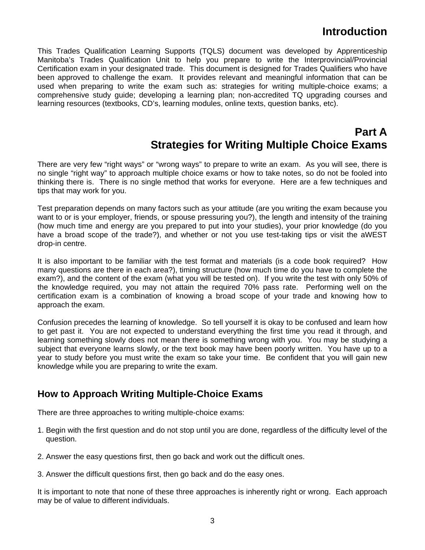## **Introduction**

This Trades Qualification Learning Supports (TQLS) document was developed by Apprenticeship Manitoba's Trades Qualification Unit to help you prepare to write the Interprovincial/Provincial Certification exam in your designated trade. This document is designed for Trades Qualifiers who have been approved to challenge the exam. It provides relevant and meaningful information that can be used when preparing to write the exam such as: strategies for writing multiple-choice exams; a comprehensive study guide; developing a learning plan; non-accredited TQ upgrading courses and learning resources (textbooks, CD's, learning modules, online texts, question banks, etc).

### **Part A Strategies for Writing Multiple Choice Exams**

There are very few "right ways" or "wrong ways" to prepare to write an exam. As you will see, there is no single "right way" to approach multiple choice exams or how to take notes, so do not be fooled into thinking there is. There is no single method that works for everyone. Here are a few techniques and tips that may work for you.

Test preparation depends on many factors such as your attitude (are you writing the exam because you want to or is your employer, friends, or spouse pressuring you?), the length and intensity of the training (how much time and energy are you prepared to put into your studies), your prior knowledge (do you have a broad scope of the trade?), and whether or not you use test-taking tips or visit the aWEST drop-in centre.

It is also important to be familiar with the test format and materials (is a code book required? How many questions are there in each area?), timing structure (how much time do you have to complete the exam?), and the content of the exam (what you will be tested on). If you write the test with only 50% of the knowledge required, you may not attain the required 70% pass rate. Performing well on the certification exam is a combination of knowing a broad scope of your trade and knowing how to approach the exam.

Confusion precedes the learning of knowledge. So tell yourself it is okay to be confused and learn how to get past it. You are not expected to understand everything the first time you read it through, and learning something slowly does not mean there is something wrong with you. You may be studying a subject that everyone learns slowly, or the text book may have been poorly written. You have up to a year to study before you must write the exam so take your time. Be confident that you will gain new knowledge while you are preparing to write the exam.

### **How to Approach Writing Multiple-Choice Exams**

There are three approaches to writing multiple-choice exams:

- 1. Begin with the first question and do not stop until you are done, regardless of the difficulty level of the question.
- 2. Answer the easy questions first, then go back and work out the difficult ones.
- 3. Answer the difficult questions first, then go back and do the easy ones.

It is important to note that none of these three approaches is inherently right or wrong. Each approach may be of value to different individuals.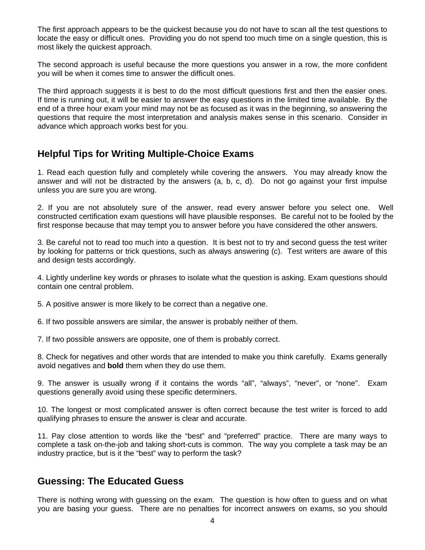The first approach appears to be the quickest because you do not have to scan all the test questions to locate the easy or difficult ones. Providing you do not spend too much time on a single question, this is most likely the quickest approach.

The second approach is useful because the more questions you answer in a row, the more confident you will be when it comes time to answer the difficult ones.

The third approach suggests it is best to do the most difficult questions first and then the easier ones. If time is running out, it will be easier to answer the easy questions in the limited time available. By the end of a three hour exam your mind may not be as focused as it was in the beginning, so answering the questions that require the most interpretation and analysis makes sense in this scenario. Consider in advance which approach works best for you.

### **Helpful Tips for Writing Multiple-Choice Exams**

1. Read each question fully and completely while covering the answers. You may already know the answer and will not be distracted by the answers (a, b, c, d). Do not go against your first impulse unless you are sure you are wrong.

2. If you are not absolutely sure of the answer, read every answer before you select one. Well constructed certification exam questions will have plausible responses. Be careful not to be fooled by the first response because that may tempt you to answer before you have considered the other answers.

3. Be careful not to read too much into a question. It is best not to try and second guess the test writer by looking for patterns or trick questions, such as always answering (c). Test writers are aware of this and design tests accordingly.

4. Lightly underline key words or phrases to isolate what the question is asking. Exam questions should contain one central problem.

5. A positive answer is more likely to be correct than a negative one.

6. If two possible answers are similar, the answer is probably neither of them.

7. If two possible answers are opposite, one of them is probably correct.

8. Check for negatives and other words that are intended to make you think carefully. Exams generally avoid negatives and **bold** them when they do use them.

9. The answer is usually wrong if it contains the words "all", "always", "never", or "none". Exam questions generally avoid using these specific determiners.

10. The longest or most complicated answer is often correct because the test writer is forced to add qualifying phrases to ensure the answer is clear and accurate.

11. Pay close attention to words like the "best" and "preferred" practice. There are many ways to complete a task on-the-job and taking short-cuts is common. The way you complete a task may be an industry practice, but is it the "best" way to perform the task?

### **Guessing: The Educated Guess**

There is nothing wrong with guessing on the exam. The question is how often to guess and on what you are basing your guess. There are no penalties for incorrect answers on exams, so you should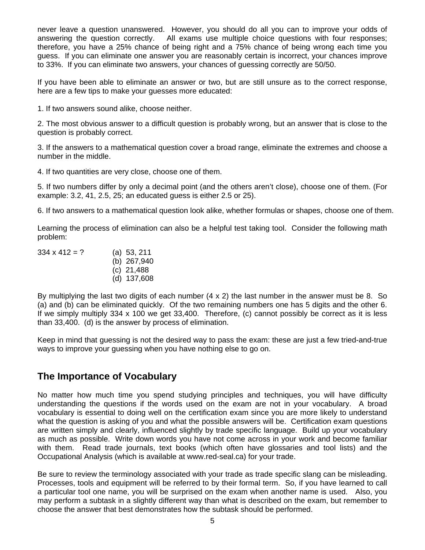never leave a question unanswered. However, you should do all you can to improve your odds of answering the question correctly. All exams use multiple choice questions with four responses; therefore, you have a 25% chance of being right and a 75% chance of being wrong each time you guess. If you can eliminate one answer you are reasonably certain is incorrect, your chances improve to 33%. If you can eliminate two answers, your chances of guessing correctly are 50/50.

If you have been able to eliminate an answer or two, but are still unsure as to the correct response, here are a few tips to make your guesses more educated:

1. If two answers sound alike, choose neither.

2. The most obvious answer to a difficult question is probably wrong, but an answer that is close to the question is probably correct.

3. If the answers to a mathematical question cover a broad range, eliminate the extremes and choose a number in the middle.

4. If two quantities are very close, choose one of them.

5. If two numbers differ by only a decimal point (and the others aren't close), choose one of them. (For example: 3.2, 41, 2.5, 25; an educated guess is either 2.5 or 25).

6. If two answers to a mathematical question look alike, whether formulas or shapes, choose one of them.

Learning the process of elimination can also be a helpful test taking tool. Consider the following math problem:

 $334 \times 412 = ?$  (a) 53, 211 (b) 267,940 (c) 21,488 (d) 137,608

By multiplying the last two digits of each number  $(4 \times 2)$  the last number in the answer must be 8. So (a) and (b) can be eliminated quickly. Of the two remaining numbers one has 5 digits and the other 6. If we simply multiply  $334 \times 100$  we get  $33,400$ . Therefore, (c) cannot possibly be correct as it is less than 33,400. (d) is the answer by process of elimination.

Keep in mind that guessing is not the desired way to pass the exam: these are just a few tried-and-true ways to improve your guessing when you have nothing else to go on.

### **The Importance of Vocabulary**

No matter how much time you spend studying principles and techniques, you will have difficulty understanding the questions if the words used on the exam are not in your vocabulary. A broad vocabulary is essential to doing well on the certification exam since you are more likely to understand what the question is asking of you and what the possible answers will be. Certification exam questions are written simply and clearly, influenced slightly by trade specific language. Build up your vocabulary as much as possible. Write down words you have not come across in your work and become familiar with them. Read trade journals, text books (which often have glossaries and tool lists) and the Occupational Analysis (which is available at www.red-seal.ca) for your trade.

Be sure to review the terminology associated with your trade as trade specific slang can be misleading. Processes, tools and equipment will be referred to by their formal term. So, if you have learned to call a particular tool one name, you will be surprised on the exam when another name is used. Also, you may perform a subtask in a slightly different way than what is described on the exam, but remember to choose the answer that best demonstrates how the subtask should be performed.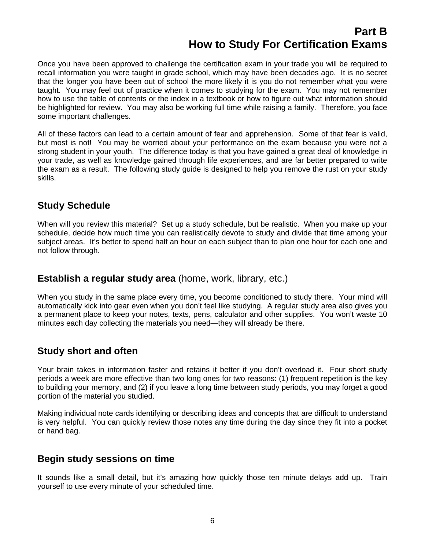## **Part B How to Study For Certification Exams**

Once you have been approved to challenge the certification exam in your trade you will be required to recall information you were taught in grade school, which may have been decades ago. It is no secret that the longer you have been out of school the more likely it is you do not remember what you were taught. You may feel out of practice when it comes to studying for the exam. You may not remember how to use the table of contents or the index in a textbook or how to figure out what information should be highlighted for review. You may also be working full time while raising a family. Therefore, you face some important challenges.

All of these factors can lead to a certain amount of fear and apprehension. Some of that fear is valid, but most is not! You may be worried about your performance on the exam because you were not a strong student in your youth. The difference today is that you have gained a great deal of knowledge in your trade, as well as knowledge gained through life experiences, and are far better prepared to write the exam as a result. The following study guide is designed to help you remove the rust on your study skills.

### **Study Schedule**

When will you review this material? Set up a study schedule, but be realistic. When you make up your schedule, decide how much time you can realistically devote to study and divide that time among your subject areas. It's better to spend half an hour on each subject than to plan one hour for each one and not follow through.

### **Establish a regular study area** (home, work, library, etc.)

When you study in the same place every time, you become conditioned to study there. Your mind will automatically kick into gear even when you don't feel like studying. A regular study area also gives you a permanent place to keep your notes, texts, pens, calculator and other supplies. You won't waste 10 minutes each day collecting the materials you need—they will already be there.

### **Study short and often**

Your brain takes in information faster and retains it better if you don't overload it. Four short study periods a week are more effective than two long ones for two reasons: (1) frequent repetition is the key to building your memory, and (2) if you leave a long time between study periods, you may forget a good portion of the material you studied.

Making individual note cards identifying or describing ideas and concepts that are difficult to understand is very helpful. You can quickly review those notes any time during the day since they fit into a pocket or hand bag.

### **Begin study sessions on time**

It sounds like a small detail, but it's amazing how quickly those ten minute delays add up. Train yourself to use every minute of your scheduled time.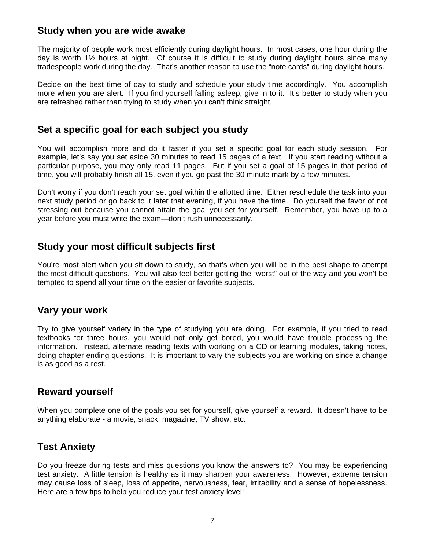#### **Study when you are wide awake**

The majority of people work most efficiently during daylight hours. In most cases, one hour during the day is worth 1½ hours at night. Of course it is difficult to study during daylight hours since many tradespeople work during the day. That's another reason to use the "note cards" during daylight hours.

Decide on the best time of day to study and schedule your study time accordingly. You accomplish more when you are alert. If you find yourself falling asleep, give in to it. It's better to study when you are refreshed rather than trying to study when you can't think straight.

#### **Set a specific goal for each subject you study**

You will accomplish more and do it faster if you set a specific goal for each study session. For example, let's say you set aside 30 minutes to read 15 pages of a text. If you start reading without a particular purpose, you may only read 11 pages. But if you set a goal of 15 pages in that period of time, you will probably finish all 15, even if you go past the 30 minute mark by a few minutes.

Don't worry if you don't reach your set goal within the allotted time. Either reschedule the task into your next study period or go back to it later that evening, if you have the time. Do yourself the favor of not stressing out because you cannot attain the goal you set for yourself. Remember, you have up to a year before you must write the exam—don't rush unnecessarily.

### **Study your most difficult subjects first**

You're most alert when you sit down to study, so that's when you will be in the best shape to attempt the most difficult questions. You will also feel better getting the "worst" out of the way and you won't be tempted to spend all your time on the easier or favorite subjects.

### **Vary your work**

Try to give yourself variety in the type of studying you are doing. For example, if you tried to read textbooks for three hours, you would not only get bored, you would have trouble processing the information. Instead, alternate reading texts with working on a CD or learning modules, taking notes, doing chapter ending questions. It is important to vary the subjects you are working on since a change is as good as a rest.

### **Reward yourself**

When you complete one of the goals you set for yourself, give yourself a reward. It doesn't have to be anything elaborate - a movie, snack, magazine, TV show, etc.

### **Test Anxiety**

Do you freeze during tests and miss questions you know the answers to? You may be experiencing test anxiety. A little tension is healthy as it may sharpen your awareness. However, extreme tension may cause loss of sleep, loss of appetite, nervousness, fear, irritability and a sense of hopelessness. Here are a few tips to help you reduce your test anxiety level: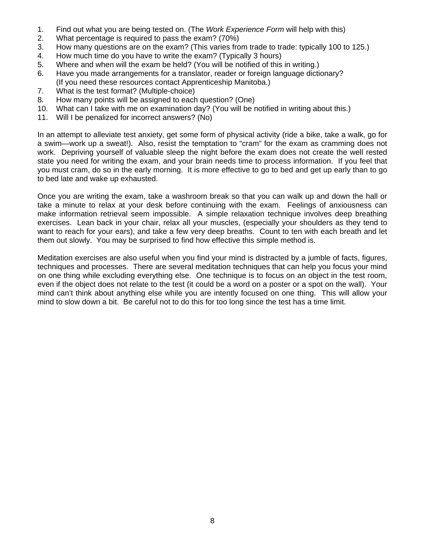- 1. Find out what you are being tested on. (The *Work Experience Form* will help with this)
- 2. What percentage is required to pass the exam? (70%)
- 3. How many questions are on the exam? (This varies from trade to trade: typically 100 to 125.)
- 4. How much time do you have to write the exam? (Typically 3 hours)
- 5. Where and when will the exam be held? (You will be notified of this in writing.)
- 6. Have you made arrangements for a translator, reader or foreign language dictionary? (If you need these resources contact Apprenticeship Manitoba.)
- 7. What is the test format? (Multiple-choice)
- 8. How many points will be assigned to each question? (One)
- 10. What can I take with me on examination day? (You will be notified in writing about this.)
- 11. Will I be penalized for incorrect answers? (No)

In an attempt to alleviate test anxiety, get some form of physical activity (ride a bike, take a walk, go for a swim—work up a sweat!). Also, resist the temptation to "cram" for the exam as cramming does not work. Depriving yourself of valuable sleep the night before the exam does not create the well rested state you need for writing the exam, and your brain needs time to process information. If you feel that you must cram, do so in the early morning. It is more effective to go to bed and get up early than to go to bed late and wake up exhausted.

Once you are writing the exam, take a washroom break so that you can walk up and down the hall or take a minute to relax at your desk before continuing with the exam. Feelings of anxiousness can make information retrieval seem impossible. A simple relaxation technique involves deep breathing exercises. Lean back in your chair, relax all your muscles, (especially your shoulders as they tend to want to reach for your ears), and take a few very deep breaths. Count to ten with each breath and let them out slowly. You may be surprised to find how effective this simple method is.

Meditation exercises are also useful when you find your mind is distracted by a jumble of facts, figures, techniques and processes. There are several meditation techniques that can help you focus your mind on one thing while excluding everything else. One technique is to focus on an object in the test room, even if the object does not relate to the test (it could be a word on a poster or a spot on the wall). Your mind can't think about anything else while you are intently focused on one thing. This will allow your mind to slow down a bit. Be careful not to do this for too long since the test has a time limit.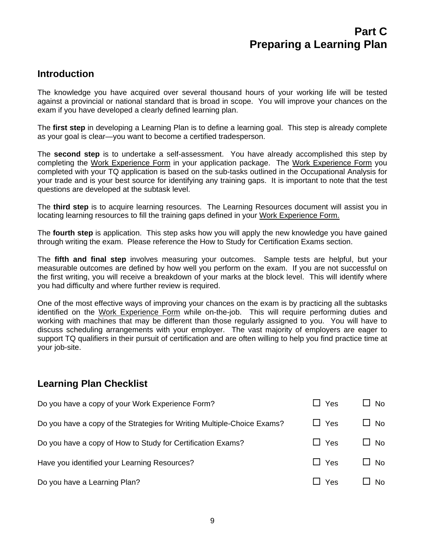### **Introduction**

The knowledge you have acquired over several thousand hours of your working life will be tested against a provincial or national standard that is broad in scope. You will improve your chances on the exam if you have developed a clearly defined learning plan.

The **first step** in developing a Learning Plan is to define a learning goal. This step is already complete as your goal is clear—you want to become a certified tradesperson.

The **second step** is to undertake a self-assessment. You have already accomplished this step by completing the Work Experience Form in your application package. The Work Experience Form you completed with your TQ application is based on the sub-tasks outlined in the Occupational Analysis for your trade and is your best source for identifying any training gaps. It is important to note that the test questions are developed at the subtask level.

The **third step** is to acquire learning resources. The Learning Resources document will assist you in locating learning resources to fill the training gaps defined in your Work Experience Form.

The **fourth step** is application. This step asks how you will apply the new knowledge you have gained through writing the exam. Please reference the How to Study for Certification Exams section.

The **fifth and final step** involves measuring your outcomes. Sample tests are helpful, but your measurable outcomes are defined by how well you perform on the exam. If you are not successful on the first writing, you will receive a breakdown of your marks at the block level. This will identify where you had difficulty and where further review is required.

One of the most effective ways of improving your chances on the exam is by practicing all the subtasks identified on the Work Experience Form while on-the-job. This will require performing duties and working with machines that may be different than those regularly assigned to you. You will have to discuss scheduling arrangements with your employer. The vast majority of employers are eager to support TQ qualifiers in their pursuit of certification and are often willing to help you find practice time at your job-site.

### **Learning Plan Checklist**

| Do you have a copy of your Work Experience Form?                        | $\Box$ Yes | $\square$ No |
|-------------------------------------------------------------------------|------------|--------------|
| Do you have a copy of the Strategies for Writing Multiple-Choice Exams? | $\Box$ Yes | $\square$ No |
| Do you have a copy of How to Study for Certification Exams?             | $\Box$ Yes | $\square$ No |
| Have you identified your Learning Resources?                            | $\Box$ Yes | $\square$ No |
| Do you have a Learning Plan?                                            | $\Box$ Yes | No.          |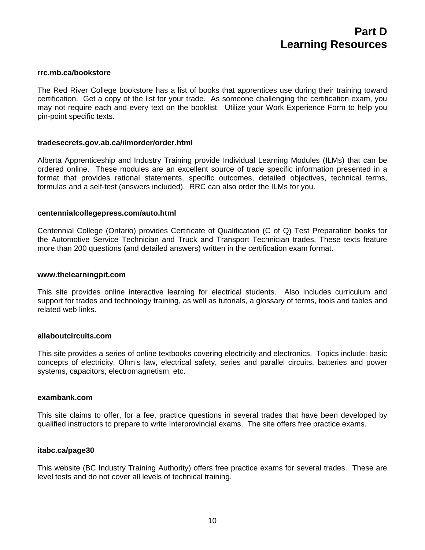#### **rrc.mb.ca/bookstore**

The Red River College bookstore has a list of books that apprentices use during their training toward certification. Get a copy of the list for your trade. As someone challenging the certification exam, you may not require each and every text on the booklist. Utilize your Work Experience Form to help you pin-point specific texts.

#### **tradesecrets.gov.ab.ca/ilmorder/order.html**

Alberta Apprenticeship and Industry Training provide Individual Learning Modules (ILMs) that can be ordered online. These modules are an excellent source of trade specific information presented in a format that provides rational statements, specific outcomes, detailed objectives, technical terms, formulas and a self-test (answers included). RRC can also order the ILMs for you.

#### **centennialcollegepress.com/auto.html**

Centennial College (Ontario) provides Certificate of Qualification (C of Q) Test Preparation books for the Automotive Service Technician and Truck and Transport Technician trades. These texts feature more than 200 questions (and detailed answers) written in the certification exam format.

#### **www.thelearningpit.com**

This site provides online interactive learning for electrical students. Also includes curriculum and support for trades and technology training, as well as tutorials, a glossary of terms, tools and tables and related web links.

#### **allaboutcircuits.com**

This site provides a series of online textbooks covering electricity and electronics. Topics include: basic concepts of electricity, Ohm's law, electrical safety, series and parallel circuits, batteries and power systems, capacitors, electromagnetism, etc.

#### **exambank.com**

This site claims to offer, for a fee, practice questions in several trades that have been developed by qualified instructors to prepare to write Interprovincial exams. The site offers free practice exams.

#### **itabc.ca/page30**

This website (BC Industry Training Authority) offers free practice exams for several trades. These are level tests and do not cover all levels of technical training.